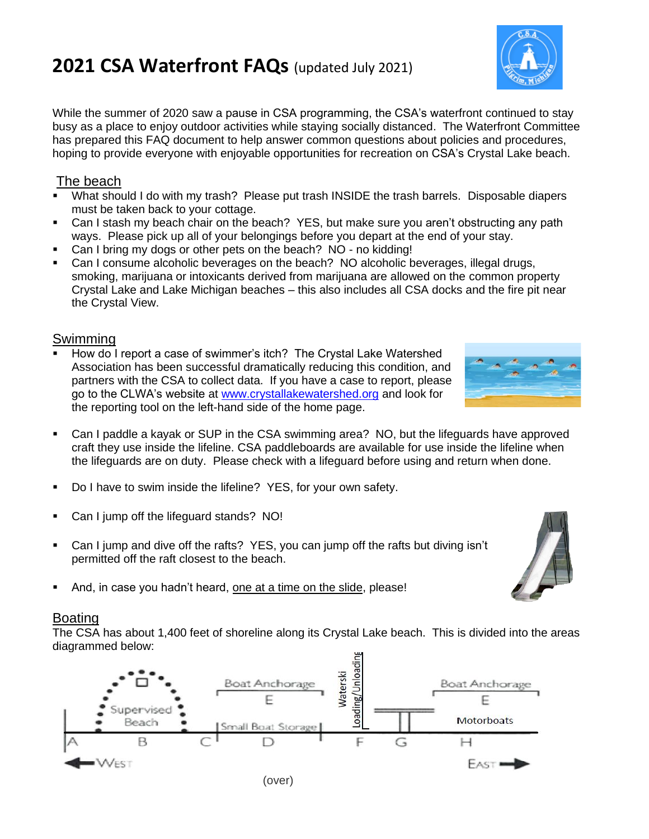## **2021 CSA Waterfront FAQs** (updated July 2021)

While the summer of 2020 saw a pause in CSA programming, the CSA's waterfront continued to stay busy as a place to enjoy outdoor activities while staying socially distanced. The Waterfront Committee has prepared this FAQ document to help answer common questions about policies and procedures, hoping to provide everyone with enjoyable opportunities for recreation on CSA's Crystal Lake beach.

## The beach

- What should I do with my trash? Please put trash INSIDE the trash barrels. Disposable diapers must be taken back to your cottage.
- Can I stash my beach chair on the beach? YES, but make sure you aren't obstructing any path ways. Please pick up all of your belongings before you depart at the end of your stay.
- Can I bring my dogs or other pets on the beach? NO no kidding!
- Can I consume alcoholic beverages on the beach? NO alcoholic beverages, illegal drugs, smoking, marijuana or intoxicants derived from marijuana are allowed on the common property Crystal Lake and Lake Michigan beaches – this also includes all CSA docks and the fire pit near the Crystal View.

## **Swimming**

- How do I report a case of swimmer's itch? The Crystal Lake Watershed Association has been successful dramatically reducing this condition, and partners with the CSA to collect data. If you have a case to report, please go to the CLWA's website at [www.crystallakewatershed.org](about:blank) and look for the reporting tool on the left-hand side of the home page.
- Can I paddle a kayak or SUP in the CSA swimming area? NO, but the lifeguards have approved craft they use inside the lifeline. CSA paddleboards are available for use inside the lifeline when the lifeguards are on duty. Please check with a lifeguard before using and return when done.
- Do I have to swim inside the lifeline? YES, for your own safety.
- Can I jump off the lifeguard stands? NO!
- Can I jump and dive off the rafts? YES, you can jump off the rafts but diving isn't permitted off the raft closest to the beach.
- And, in case you hadn't heard, one at a time on the slide, please!

## Boating

The CSA has about 1,400 feet of shoreline along its Crystal Lake beach. This is divided into the areas diagrammed below: